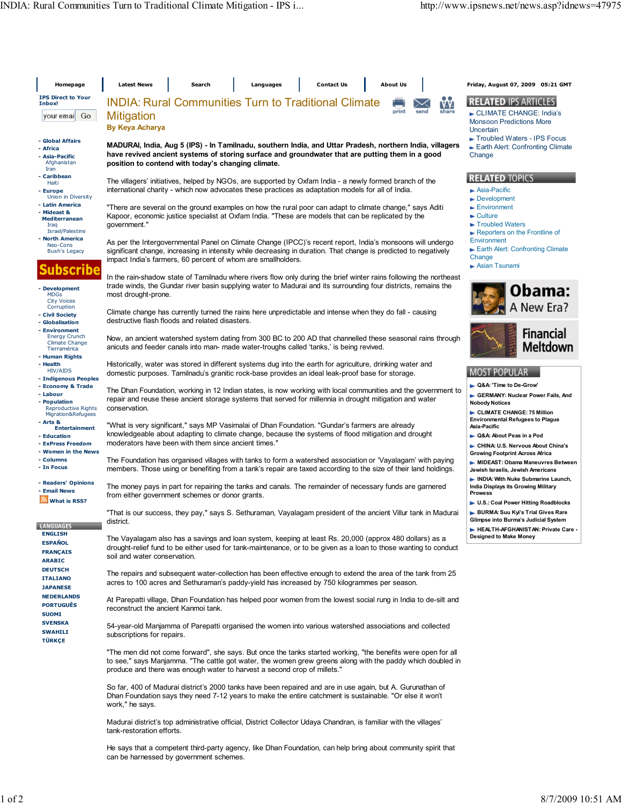| Homepage                                                                                         | <b>Latest News</b>                                                                                                                                                                                                                                                                                      | Search                                                                                                                                                                                                                                                  |                                                                 | Languages |  | <b>Contact Us</b> |  | <b>About Us</b> |                                                                                                            |                                                                                              | Friday, August 07, 2009 05:21 GMT                                                                                                              |  |  |
|--------------------------------------------------------------------------------------------------|---------------------------------------------------------------------------------------------------------------------------------------------------------------------------------------------------------------------------------------------------------------------------------------------------------|---------------------------------------------------------------------------------------------------------------------------------------------------------------------------------------------------------------------------------------------------------|-----------------------------------------------------------------|-----------|--|-------------------|--|-----------------|------------------------------------------------------------------------------------------------------------|----------------------------------------------------------------------------------------------|------------------------------------------------------------------------------------------------------------------------------------------------|--|--|
| <b>IPS Direct to Your</b><br>Inbox!                                                              |                                                                                                                                                                                                                                                                                                         |                                                                                                                                                                                                                                                         |                                                                 |           |  |                   |  |                 |                                                                                                            |                                                                                              | <b>RELATED IPS ARTICLES</b>                                                                                                                    |  |  |
| youremai Go                                                                                      | <b>INDIA: Rural Communities Turn to Traditional Climate</b><br>VV.<br>print<br>share<br><b>Mitigation</b><br><b>By Keya Acharya</b>                                                                                                                                                                     |                                                                                                                                                                                                                                                         |                                                                 |           |  |                   |  |                 |                                                                                                            |                                                                                              | CLIMATE CHANGE: India's<br><b>Monsoon Predictions More</b><br>Uncertain                                                                        |  |  |
| - Global Affairs                                                                                 | MADURAI, India, Aug 5 (IPS) - In Tamilnadu, southern India, and Uttar Pradesh, northern India, villagers                                                                                                                                                                                                |                                                                                                                                                                                                                                                         | Troubled Waters - IPS Focus<br>Earth Alert: Confronting Climate |           |  |                   |  |                 |                                                                                                            |                                                                                              |                                                                                                                                                |  |  |
| - Africa<br>- Asia-Pacific<br>Afghanistan<br>Iran                                                | have revived ancient systems of storing surface and groundwater that are putting them in a good<br>position to contend with today's changing climate.                                                                                                                                                   | Change                                                                                                                                                                                                                                                  |                                                                 |           |  |                   |  |                 |                                                                                                            |                                                                                              |                                                                                                                                                |  |  |
| - Caribbean                                                                                      |                                                                                                                                                                                                                                                                                                         | <b>RELATED TOPICS</b>                                                                                                                                                                                                                                   |                                                                 |           |  |                   |  |                 |                                                                                                            |                                                                                              |                                                                                                                                                |  |  |
| Haiti<br>- Europe<br>Union in Diversity                                                          | The villagers' initiatives, helped by NGOs, are supported by Oxfam India - a newly formed branch of the<br>international charity - which now advocates these practices as adaptation models for all of India.                                                                                           |                                                                                                                                                                                                                                                         |                                                                 |           |  |                   |  |                 |                                                                                                            |                                                                                              | $\blacktriangleright$ Asia-Pacific                                                                                                             |  |  |
| - Latin America                                                                                  | "There are several on the ground examples on how the rural poor can adapt to climate change," says Aditi                                                                                                                                                                                                |                                                                                                                                                                                                                                                         | Development<br>Environment                                      |           |  |                   |  |                 |                                                                                                            |                                                                                              |                                                                                                                                                |  |  |
| - Mideast &<br><b>Mediterranean</b><br>Iraq<br>Israel/Palestine                                  | Kapoor, economic justice specialist at Oxfam India. "These are models that can be replicated by the<br>government."                                                                                                                                                                                     |                                                                                                                                                                                                                                                         |                                                                 |           |  |                   |  |                 |                                                                                                            |                                                                                              | $\blacktriangleright$ Culture<br>Troubled Waters                                                                                               |  |  |
| - North America                                                                                  | As per the Intergovernmental Panel on Climate Change (IPCC)'s recent report, India's monsoons will undergo                                                                                                                                                                                              |                                                                                                                                                                                                                                                         |                                                                 |           |  |                   |  |                 |                                                                                                            |                                                                                              | Reporters on the Frontline of<br>Environment                                                                                                   |  |  |
| Neo-Cons<br><b>Bush's Legacy</b>                                                                 | significant change, increasing in intensity while decreasing in duration. That change is predicted to negatively<br>impact India's farmers, 60 percent of whom are smallholders.                                                                                                                        |                                                                                                                                                                                                                                                         |                                                                 |           |  |                   |  |                 |                                                                                                            |                                                                                              | Earth Alert: Confronting Climate<br>Change<br>Asian Tsunami                                                                                    |  |  |
| Ibscribe                                                                                         | In the rain-shadow state of Tamilnadu where rivers flow only during the brief winter rains following the northeast                                                                                                                                                                                      |                                                                                                                                                                                                                                                         |                                                                 |           |  |                   |  |                 |                                                                                                            |                                                                                              |                                                                                                                                                |  |  |
| - Development<br><b>MDGs</b><br><b>City Voices</b>                                               | trade winds, the Gundar river basin supplying water to Madurai and its surrounding four districts, remains the<br>most drought-prone.<br>Climate change has currently turned the rains here unpredictable and intense when they do fall - causing<br>destructive flash floods and related disasters.    |                                                                                                                                                                                                                                                         |                                                                 |           |  |                   |  |                 |                                                                                                            | Obama:<br>A New Era?                                                                         |                                                                                                                                                |  |  |
| Corruption<br>- Civil Society<br>- Globalisation                                                 |                                                                                                                                                                                                                                                                                                         |                                                                                                                                                                                                                                                         |                                                                 |           |  |                   |  |                 |                                                                                                            |                                                                                              |                                                                                                                                                |  |  |
| - Environment<br><b>Energy Crunch</b><br><b>Climate Change</b><br>Tierramérica<br>- Human Rights | Now, an ancient watershed system dating from 300 BC to 200 AD that channelled these seasonal rains through<br>anicuts and feeder canals into man- made water-troughs called 'tanks,' is being revived.                                                                                                  |                                                                                                                                                                                                                                                         |                                                                 |           |  |                   |  |                 |                                                                                                            | <b>Financial</b><br>Meltdown                                                                 |                                                                                                                                                |  |  |
| - Health<br>HIV/AIDS<br>- Indigenous Peoples                                                     | Historically, water was stored in different systems dug into the earth for agriculture, drinking water and<br>domestic purposes. Tamilnadu's granitic rock-base provides an ideal leak-proof base for storage.                                                                                          |                                                                                                                                                                                                                                                         |                                                                 |           |  |                   |  |                 |                                                                                                            | <b>MOST POPULAR</b>                                                                          |                                                                                                                                                |  |  |
| - Economy & Trade                                                                                |                                                                                                                                                                                                                                                                                                         |                                                                                                                                                                                                                                                         |                                                                 |           |  |                   |  |                 |                                                                                                            |                                                                                              | ► Q&A: 'Time to De-Grow'                                                                                                                       |  |  |
| - Labour<br>- Population<br>Reproductive Rights<br>Migration&Refugees                            | conservation.                                                                                                                                                                                                                                                                                           | The Dhan Foundation, working in 12 Indian states, is now working with local communities and the government to<br>repair and reuse these ancient storage systems that served for millennia in drought mitigation and water                               |                                                                 |           |  |                   |  |                 |                                                                                                            | GERMANY: Nuclear Power Fails, And<br><b>Nobody Notices</b><br>CLIMATE CHANGE: 75 Million     |                                                                                                                                                |  |  |
| - Arts &<br><b>Entertainment</b>                                                                 | "What is very significant," says MP Vasimalai of Dhan Foundation. "Gundar's farmers are already                                                                                                                                                                                                         |                                                                                                                                                                                                                                                         |                                                                 |           |  |                   |  |                 |                                                                                                            |                                                                                              | <b>Environmental Refugees to Plague</b><br>Asia-Pacific                                                                                        |  |  |
| - Education<br>- ExPress Freedom                                                                 |                                                                                                                                                                                                                                                                                                         | knowledgeable about adapting to climate change, because the systems of flood mitigation and drought<br>moderators have been with them since ancient times."                                                                                             |                                                                 |           |  |                   |  |                 |                                                                                                            | • Q&A: About Peas in a Pod                                                                   |                                                                                                                                                |  |  |
| - Women in the News                                                                              |                                                                                                                                                                                                                                                                                                         |                                                                                                                                                                                                                                                         |                                                                 |           |  |                   |  |                 |                                                                                                            |                                                                                              | CHINA: U.S. Nervous About China's<br><b>Growing Footprint Across Africa</b>                                                                    |  |  |
| - Columns<br>- In Focus                                                                          | The Foundation has organised villages with tanks to form a watershed association or 'Vayalagam' with paying<br>members. Those using or benefiting from a tank's repair are taxed according to the size of their land holdings.                                                                          |                                                                                                                                                                                                                                                         |                                                                 |           |  |                   |  |                 | MIDEAST: Obama Maneuvres Between<br>Jewish Israelis, Jewish Americans<br>NDIA: With Nuke Submarine Launch, |                                                                                              |                                                                                                                                                |  |  |
| - Readers' Opinions<br>- Email News<br>What is RSS?                                              | The money pays in part for repairing the tanks and canals. The remainder of necessary funds are garnered<br>from either government schemes or donor grants.                                                                                                                                             |                                                                                                                                                                                                                                                         |                                                                 |           |  |                   |  |                 |                                                                                                            | India Displays its Growing Military<br><b>Prowess</b><br>U.S.: Coal Power Hitting Roadblocks |                                                                                                                                                |  |  |
| <b>LANGUAGES</b>                                                                                 | "That is our success, they pay," says S. Sethuraman, Vayalagam president of the ancient Villur tank in Madurai<br>district.                                                                                                                                                                             |                                                                                                                                                                                                                                                         |                                                                 |           |  |                   |  |                 |                                                                                                            |                                                                                              | BURMA: Suu Kyi's Trial Gives Rare<br>Glimpse into Burma's Judicial System<br>HEALTH-AFGHANISTAN: Private Care<br><b>Designed to Make Money</b> |  |  |
| <b>ENGLISH</b><br><b>ESPAÑOL</b><br><b>FRANÇAIS</b>                                              | The Vayalagam also has a savings and loan system, keeping at least Rs. 20,000 (approx 480 dollars) as a<br>drought-relief fund to be either used for tank-maintenance, or to be given as a loan to those wanting to conduct<br>soil and water conservation.                                             |                                                                                                                                                                                                                                                         |                                                                 |           |  |                   |  |                 |                                                                                                            |                                                                                              |                                                                                                                                                |  |  |
| <b>ARABIC</b><br><b>DEUTSCH</b><br><b>ITALIANO</b>                                               | The repairs and subsequent water-collection has been effective enough to extend the area of the tank from 25                                                                                                                                                                                            |                                                                                                                                                                                                                                                         |                                                                 |           |  |                   |  |                 |                                                                                                            |                                                                                              |                                                                                                                                                |  |  |
| <b>JAPANESE</b><br><b>NEDERLANDS</b><br><b>PORTUGUËS</b><br><b>SUOMI</b>                         |                                                                                                                                                                                                                                                                                                         | acres to 100 acres and Sethuraman's paddy-yield has increased by 750 kilogrammes per season.<br>At Parepatti village, Dhan Foundation has helped poor women from the lowest social rung in India to de-silt and<br>reconstruct the ancient Kanmoi tank. |                                                                 |           |  |                   |  |                 |                                                                                                            |                                                                                              |                                                                                                                                                |  |  |
| <b>SVENSKA</b><br><b>SWAHILI</b><br><b>TÜRKÇE</b>                                                | 54-year-old Manjamma of Parepatti organised the women into various watershed associations and collected<br>subscriptions for repairs.                                                                                                                                                                   |                                                                                                                                                                                                                                                         |                                                                 |           |  |                   |  |                 |                                                                                                            |                                                                                              |                                                                                                                                                |  |  |
|                                                                                                  | "The men did not come forward", she says. But once the tanks started working, "the benefits were open for all<br>to see," says Manjamma. "The cattle got water, the women grew greens along with the paddy which doubled in<br>produce and there was enough water to harvest a second crop of millets." |                                                                                                                                                                                                                                                         |                                                                 |           |  |                   |  |                 |                                                                                                            |                                                                                              |                                                                                                                                                |  |  |
|                                                                                                  | So far, 400 of Madurai district's 2000 tanks have been repaired and are in use again, but A. Gurunathan of<br>Dhan Foundation says they need 7-12 years to make the entire catchment is sustainable. "Or else it won't<br>work," he says.                                                               |                                                                                                                                                                                                                                                         |                                                                 |           |  |                   |  |                 |                                                                                                            |                                                                                              |                                                                                                                                                |  |  |
|                                                                                                  | Madurai district's top administrative official, District Collector Udaya Chandran, is familiar with the villages'<br>tank-restoration efforts.                                                                                                                                                          |                                                                                                                                                                                                                                                         |                                                                 |           |  |                   |  |                 |                                                                                                            |                                                                                              |                                                                                                                                                |  |  |
|                                                                                                  | He says that a competent third-party agency, like Dhan Foundation, can help bring about community spirit that<br>can be harnessed by government schemes.                                                                                                                                                |                                                                                                                                                                                                                                                         |                                                                 |           |  |                   |  |                 |                                                                                                            |                                                                                              |                                                                                                                                                |  |  |